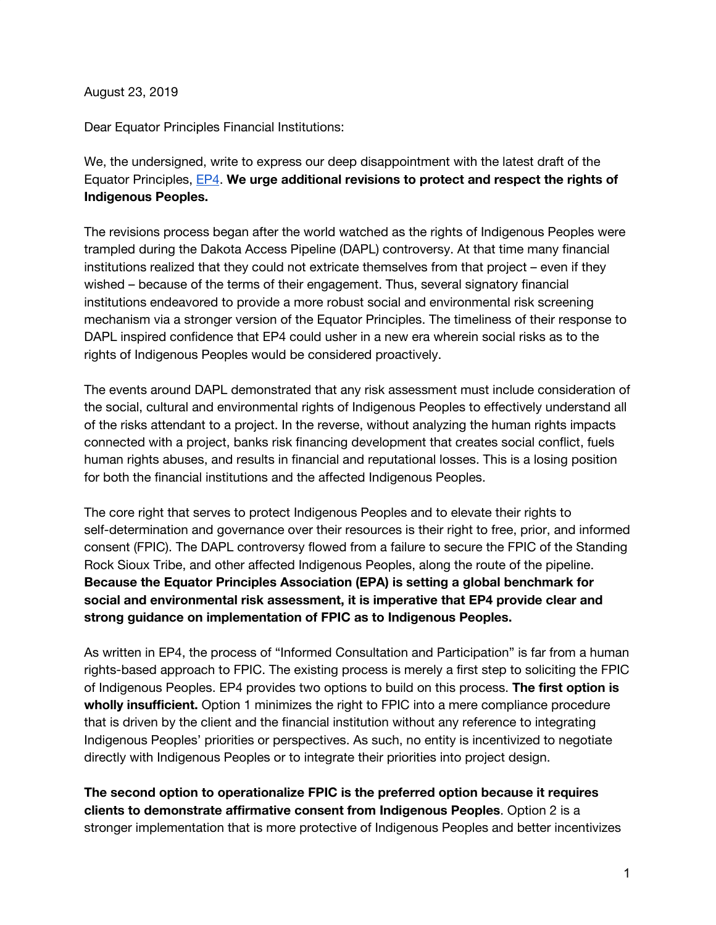August 23, 2019

Dear Equator Principles Financial Institutions:

We, the undersigned, write to express our deep disappointment with the latest draft of the Equator Principles, [EP4.](https://equator-principles.com/wp-content/uploads/2019/06/DRAFT-FOR-CONSULTATION-Equator-Principles-version-4-June-2019.pdf) **We urge additional revisions to protect and respect the rights of Indigenous Peoples.**

The revisions process began after the world watched as the rights of Indigenous Peoples were trampled during the Dakota Access Pipeline (DAPL) controversy. At that time many financial institutions realized that they could not extricate themselves from that project – even if they wished – because of the terms of their engagement. Thus, several signatory financial institutions endeavored to provide a more robust social and environmental risk screening mechanism via a stronger version of the Equator Principles. The timeliness of their response to DAPL inspired confidence that EP4 could usher in a new era wherein social risks as to the rights of Indigenous Peoples would be considered proactively.

The events around DAPL demonstrated that any risk assessment must include consideration of the social, cultural and environmental rights of Indigenous Peoples to effectively understand all of the risks attendant to a project. In the reverse, without analyzing the human rights impacts connected with a project, banks risk financing development that creates social conflict, fuels human rights abuses, and results in financial and reputational losses. This is a losing position for both the financial institutions and the affected Indigenous Peoples.

The core right that serves to protect Indigenous Peoples and to elevate their rights to self-determination and governance over their resources is their right to free, prior, and informed consent (FPIC). The DAPL controversy flowed from a failure to secure the FPIC of the Standing Rock Sioux Tribe, and other affected Indigenous Peoples, along the route of the pipeline. **Because the Equator Principles Association (EPA) is setting a global benchmark for social and environmental risk assessment, it is imperative that EP4 provide clear and strong guidance on implementation of FPIC as to Indigenous Peoples.**

As written in EP4, the process of "Informed Consultation and Participation" is far from a human rights-based approach to FPIC. The existing process is merely a first step to soliciting the FPIC of Indigenous Peoples. EP4 provides two options to build on this process. **The first option is wholly insufficient.** Option 1 minimizes the right to FPIC into a mere compliance procedure that is driven by the client and the financial institution without any reference to integrating Indigenous Peoples' priorities or perspectives. As such, no entity is incentivized to negotiate directly with Indigenous Peoples or to integrate their priorities into project design.

**The second option to operationalize FPIC is the preferred option because it requires clients to demonstrate affirmative consent from Indigenous Peoples**. Option 2 is a stronger implementation that is more protective of Indigenous Peoples and better incentivizes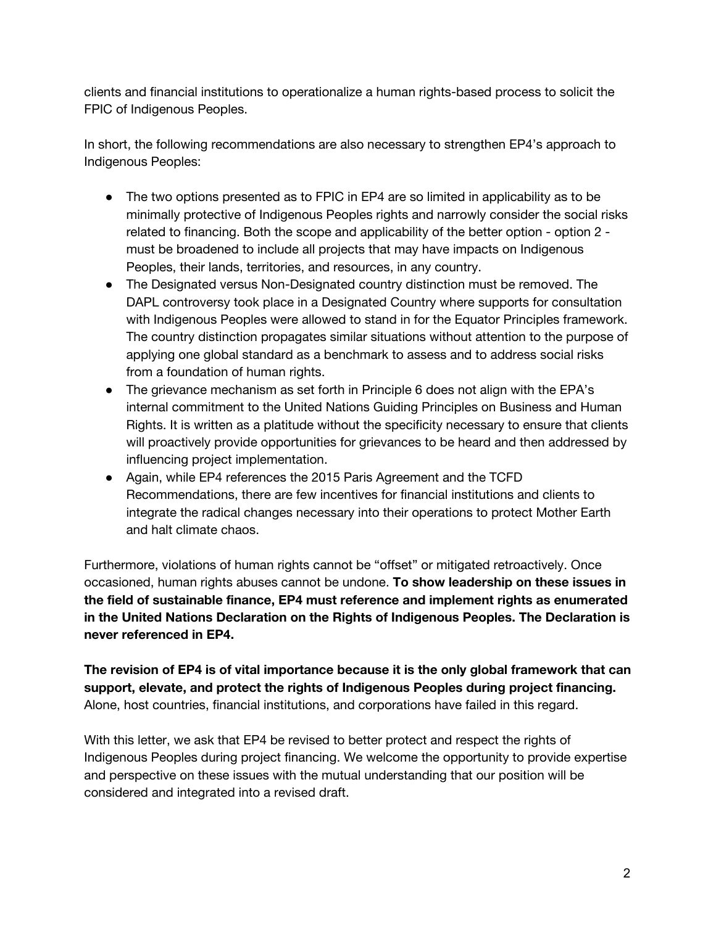clients and financial institutions to operationalize a human rights-based process to solicit the FPIC of Indigenous Peoples.

In short, the following recommendations are also necessary to strengthen EP4's approach to Indigenous Peoples:

- The two options presented as to FPIC in EP4 are so limited in applicability as to be minimally protective of Indigenous Peoples rights and narrowly consider the social risks related to financing. Both the scope and applicability of the better option - option 2 must be broadened to include all projects that may have impacts on Indigenous Peoples, their lands, territories, and resources, in any country.
- The Designated versus Non-Designated country distinction must be removed. The DAPL controversy took place in a Designated Country where supports for consultation with Indigenous Peoples were allowed to stand in for the Equator Principles framework. The country distinction propagates similar situations without attention to the purpose of applying one global standard as a benchmark to assess and to address social risks from a foundation of human rights.
- The grievance mechanism as set forth in Principle 6 does not align with the EPA's internal commitment to the United Nations Guiding Principles on Business and Human Rights. It is written as a platitude without the specificity necessary to ensure that clients will proactively provide opportunities for grievances to be heard and then addressed by influencing project implementation.
- Again, while EP4 references the 2015 Paris Agreement and the TCFD Recommendations, there are few incentives for financial institutions and clients to integrate the radical changes necessary into their operations to protect Mother Earth and halt climate chaos.

Furthermore, violations of human rights cannot be "offset" or mitigated retroactively. Once occasioned, human rights abuses cannot be undone. **To show leadership on these issues in the field of sustainable finance, EP4 must reference and implement rights as enumerated in the United Nations Declaration on the Rights of Indigenous Peoples. The Declaration is never referenced in EP4.**

**The revision of EP4 is of vital importance because it is the only global framework that can support, elevate, and protect the rights of Indigenous Peoples during project financing.** Alone, host countries, financial institutions, and corporations have failed in this regard.

With this letter, we ask that EP4 be revised to better protect and respect the rights of Indigenous Peoples during project financing. We welcome the opportunity to provide expertise and perspective on these issues with the mutual understanding that our position will be considered and integrated into a revised draft.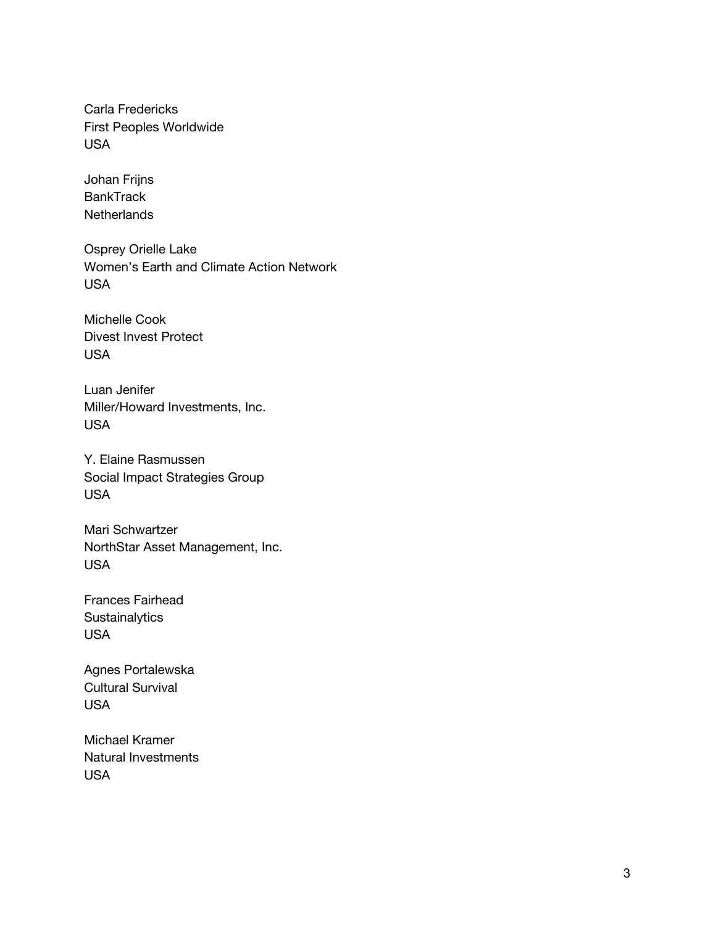Carla Fredericks First Peoples Worldwide USA

Johan Frijns **BankTrack Netherlands** 

Osprey Orielle Lake Women's Earth and Climate Action Network USA

Michelle Cook Divest Invest Protect USA

Luan Jenifer Miller/Howard Investments, Inc. USA

Y. Elaine Rasmussen Social Impact Strategies Group USA

Mari Schwartzer NorthStar Asset Management, Inc. USA

Frances Fairhead **Sustainalytics** USA

Agnes Portalewska Cultural Survival USA

Michael Kramer Natural Investments USA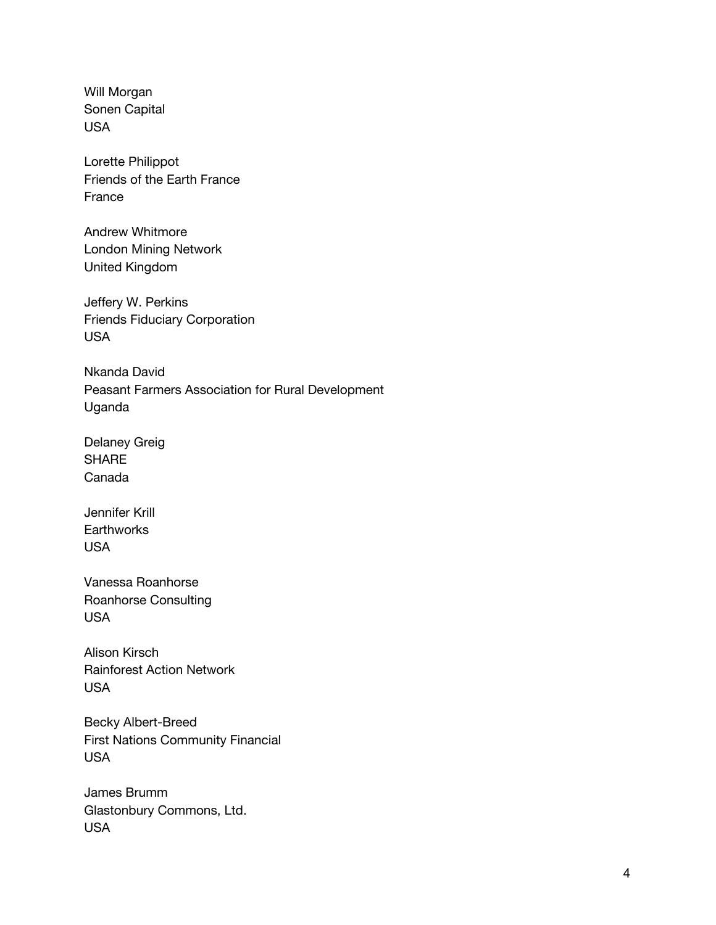Will Morgan Sonen Capital USA

Lorette Philippot Friends of the Earth France France

Andrew Whitmore London Mining Network United Kingdom

Jeffery W. Perkins Friends Fiduciary Corporation USA

Nkanda David Peasant Farmers Association for Rural Development Uganda

Delaney Greig **SHARE** Canada

Jennifer Krill **Earthworks** USA

Vanessa Roanhorse Roanhorse Consulting USA

Alison Kirsch Rainforest Action Network USA

Becky Albert-Breed First Nations Community Financial USA

James Brumm Glastonbury Commons, Ltd. USA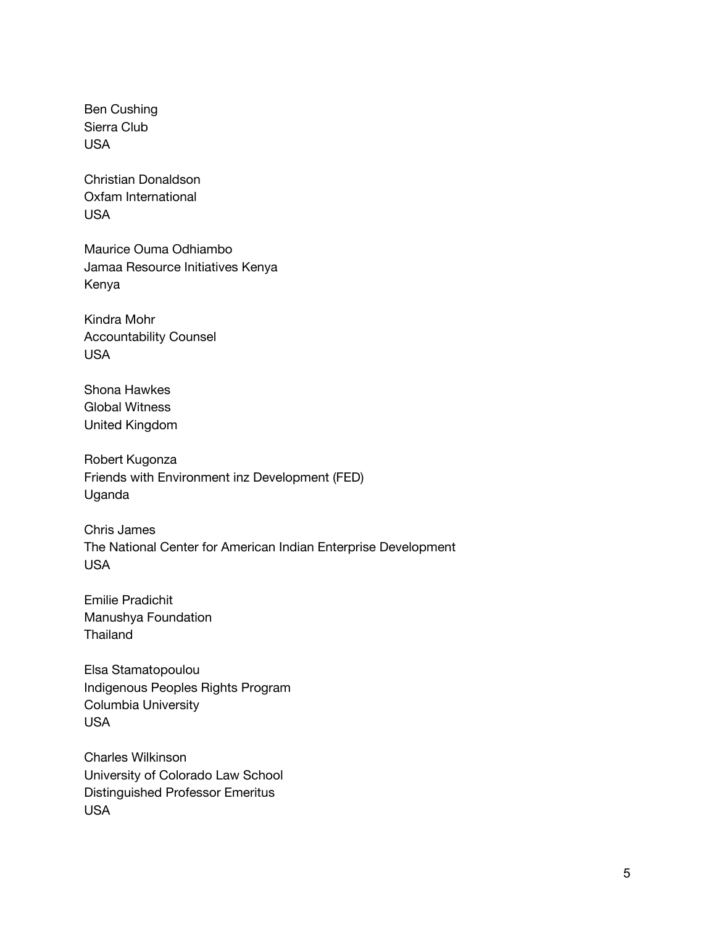Ben Cushing Sierra Club USA

Christian Donaldson Oxfam International USA

Maurice Ouma Odhiambo Jamaa Resource Initiatives Kenya Kenya

Kindra Mohr Accountability Counsel USA

Shona Hawkes Global Witness United Kingdom

Robert Kugonza Friends with Environment inz Development (FED) Uganda

Chris James The National Center for American Indian Enterprise Development USA

Emilie Pradichit Manushya Foundation Thailand

Elsa Stamatopoulou Indigenous Peoples Rights Program Columbia University USA

Charles Wilkinson University of Colorado Law School Distinguished Professor Emeritus USA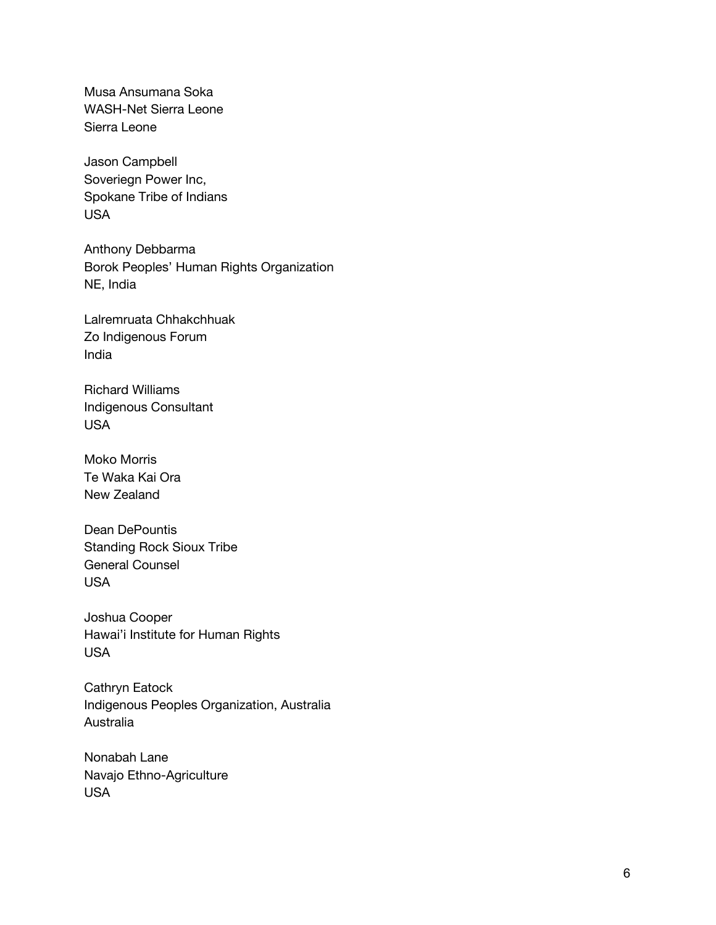Musa Ansumana Soka WASH-Net Sierra Leone Sierra Leone

Jason Campbell Soveriegn Power Inc, Spokane Tribe of Indians USA

Anthony Debbarma Borok Peoples' Human Rights Organization NE, India

Lalremruata Chhakchhuak Zo Indigenous Forum India

Richard Williams Indigenous Consultant USA

Moko Morris Te Waka Kai Ora New Zealand

Dean DePountis Standing Rock Sioux Tribe General Counsel USA

Joshua Cooper Hawai'i Institute for Human Rights USA

Cathryn Eatock Indigenous Peoples Organization, Australia Australia

Nonabah Lane Navajo Ethno-Agriculture USA